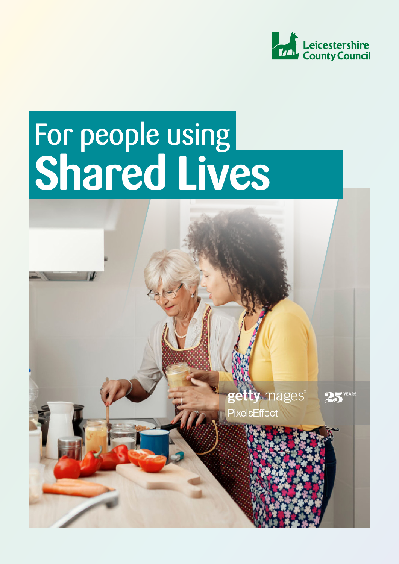

# For people using **Shared Lives**

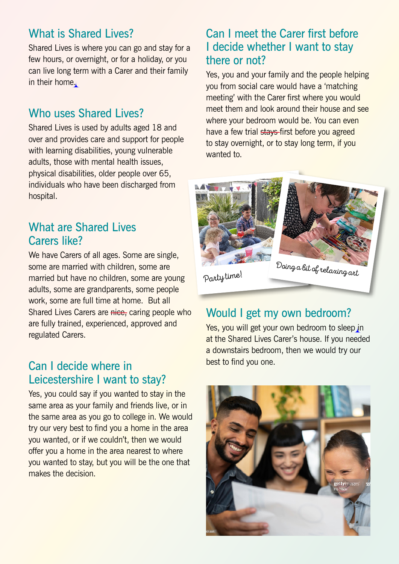### What is Shared Lives?

Shared Lives is where you can go and stay for a few hours, or overnight, or for a holiday, or you can live long term with a Carer and their family in their home.

#### Who uses Shared Lives?

Shared Lives is used by adults aged 18 and over and provides care and support for people with learning disabilities, young vulnerable adults, those with mental health issues, physical disabilities, older people over 65, individuals who have been discharged from hospital.

#### What are Shared Lives Carers like?

We have Carers of all ages. Some are single, some are married with children, some are married but have no children, some are young adults, some are grandparents, some people work, some are full time at home. But all Shared Lives Carers are nice, caring people who are fully trained, experienced, approved and regulated Carers.

#### Can I decide where in Leicestershire I want to stay?

Yes, you could say if you wanted to stay in the same area as your family and friends live, or in the same area as you go to college in. We would try our very best to find you a home in the area you wanted, or if we couldn't, then we would offer you a home in the area nearest to where you wanted to stay, but you will be the one that makes the decision.

#### Can I meet the Carer first before I decide whether I want to stay there or not?

Yes, you and your family and the people helping you from social care would have a 'matching meeting' with the Carer first where you would meet them and look around their house and see where your bedroom would be. You can even have a few trial stays-first before you agreed to stay overnight, or to stay long term, if you wanted to.



#### Would I get my own bedroom?

Yes, you will get your own bedroom to sleep in at the Shared Lives Carer's house. If you needed a downstairs bedroom, then we would try our best to find you one.

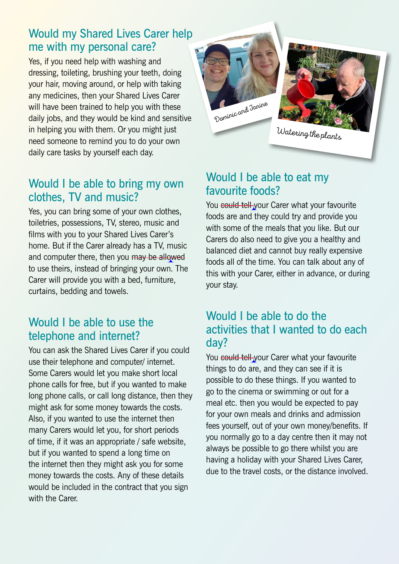#### Would my Shared Lives Carer help me with my personal care?

Yes, if you need help with washing and dressing, toileting, brushing your teeth, doing your hair, moving around, or help with taking any medicines, then your Shared Lives Carer will have been trained to help you with these daily jobs, and they would be kind and sensitive in helping you with them. Or you might just need someone to remind you to do your own daily care tasks by yourself each day.

#### Would I be able to bring my own clothes, TV and music?

Yes, you can bring some of your own clothes, toiletries, possessions, TV, stereo, music and films with you to your Shared Lives Carer's home. But if the Carer already has a TV, music and computer there, then you may be allowed to use theirs, instead of bringing your own. The Carer will provide you with a bed, furniture, curtains, bedding and towels.

#### Would I be able to use the telephone and internet?

You can ask the Shared Lives Carer if you could use their telephone and computer/ internet. Some Carers would let you make short local phone calls for free, but if you wanted to make long phone calls, or call long distance, then they might ask for some money towards the costs. Also, if you wanted to use the internet then many Carers would let you, for short periods of time, if it was an appropriate / safe website, but if you wanted to spend a long time on the internet then they might ask you for some money towards the costs. Any of these details would be included in the contract that you sign with the Carer.





#### Would I be able to eat my favourite foods?

You could tell your Carer what your favourite foods are and they could try and provide you with some of the meals that you like. But our Carers do also need to give you a healthy and balanced diet and cannot buy really expensive foods all of the time. You can talk about any of this with your Carer, either in advance, or during your stay.

#### Would I be able to do the activities that I wanted to do each day?

You could tell your Carer what your favourite things to do are, and they can see if it is possible to do these things. If you wanted to go to the cinema or swimming or out for a meal etc. then you would be expected to pay for your own meals and drinks and admission fees yourself, out of your own money/benefits. If you normally go to a day centre then it may not always be possible to go there whilst you are having a holiday with your Shared Lives Carer, due to the travel costs, or the distance involved.